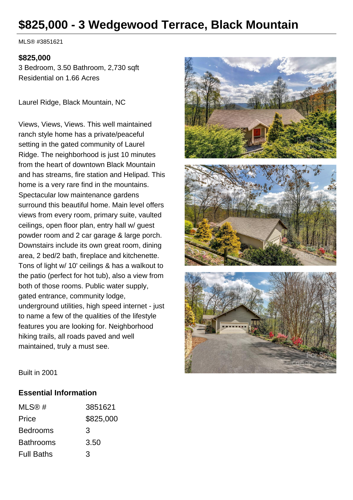# **\$825,000 - 3 Wedgewood Terrace, Black Mountain**

MLS® #3851621

### **\$825,000**

3 Bedroom, 3.50 Bathroom, 2,730 sqft Residential on 1.66 Acres

Laurel Ridge, Black Mountain, NC

Views, Views, Views. This well maintained ranch style home has a private/peaceful setting in the gated community of Laurel Ridge. The neighborhood is just 10 minutes from the heart of downtown Black Mountain and has streams, fire station and Helipad. This home is a very rare find in the mountains. Spectacular low maintenance gardens surround this beautiful home. Main level offers views from every room, primary suite, vaulted ceilings, open floor plan, entry hall w/ guest powder room and 2 car garage & large porch. Downstairs include its own great room, dining area, 2 bed/2 bath, fireplace and kitchenette. Tons of light w/ 10' ceilings & has a walkout to the patio (perfect for hot tub), also a view from both of those rooms. Public water supply, gated entrance, community lodge, underground utilities, high speed internet - just to name a few of the qualities of the lifestyle features you are looking for. Neighborhood hiking trails, all roads paved and well maintained, truly a must see.



Built in 2001

## **Essential Information**

| MLS@#             | 3851621   |
|-------------------|-----------|
| Price             | \$825,000 |
| <b>Bedrooms</b>   | 3         |
| <b>Bathrooms</b>  | 3.50      |
| <b>Full Baths</b> | 3         |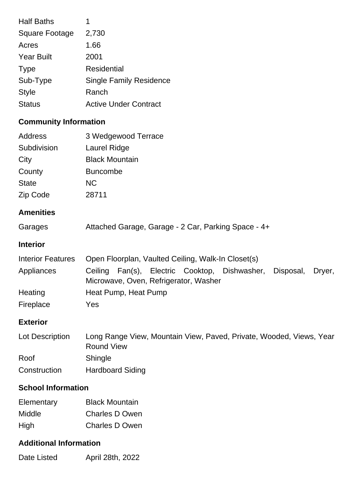| <b>Half Baths</b>     | 1                              |
|-----------------------|--------------------------------|
| <b>Square Footage</b> | 2,730                          |
| Acres                 | 1.66                           |
| <b>Year Built</b>     | 2001                           |
| <b>Type</b>           | Residential                    |
| Sub-Type              | <b>Single Family Residence</b> |
| <b>Style</b>          | Ranch                          |
| <b>Status</b>         | <b>Active Under Contract</b>   |
|                       |                                |

## **Community Information**

| <b>Address</b>            | 3 Wedgewood Terrace                                                                                           |
|---------------------------|---------------------------------------------------------------------------------------------------------------|
| Subdivision               | <b>Laurel Ridge</b>                                                                                           |
| City                      | <b>Black Mountain</b>                                                                                         |
| County                    | <b>Buncombe</b>                                                                                               |
| <b>State</b>              | <b>NC</b>                                                                                                     |
| Zip Code                  | 28711                                                                                                         |
| <b>Amenities</b>          |                                                                                                               |
| Garages                   | Attached Garage, Garage - 2 Car, Parking Space - 4+                                                           |
| <b>Interior</b>           |                                                                                                               |
| <b>Interior Features</b>  | Open Floorplan, Vaulted Ceiling, Walk-In Closet(s)                                                            |
| Appliances                | Ceiling Fan(s), Electric Cooktop, Dishwasher,<br>Disposal,<br>Dryer,<br>Microwave, Oven, Refrigerator, Washer |
| Heating                   | Heat Pump, Heat Pump                                                                                          |
| Fireplace                 | Yes                                                                                                           |
| <b>Exterior</b>           |                                                                                                               |
| Lot Description           | Long Range View, Mountain View, Paved, Private, Wooded, Views, Year<br><b>Round View</b>                      |
| Roof                      | Shingle                                                                                                       |
| Construction              | <b>Hardboard Siding</b>                                                                                       |
| <b>School Information</b> |                                                                                                               |
| Elementary                | <b>Black Mountain</b>                                                                                         |
| Middle                    | <b>Charles D Owen</b>                                                                                         |
| High                      | <b>Charles D Owen</b>                                                                                         |

| <b>Additional Information</b> |
|-------------------------------|
|                               |

| Date Listed | April 28th, 2022 |  |
|-------------|------------------|--|
|-------------|------------------|--|